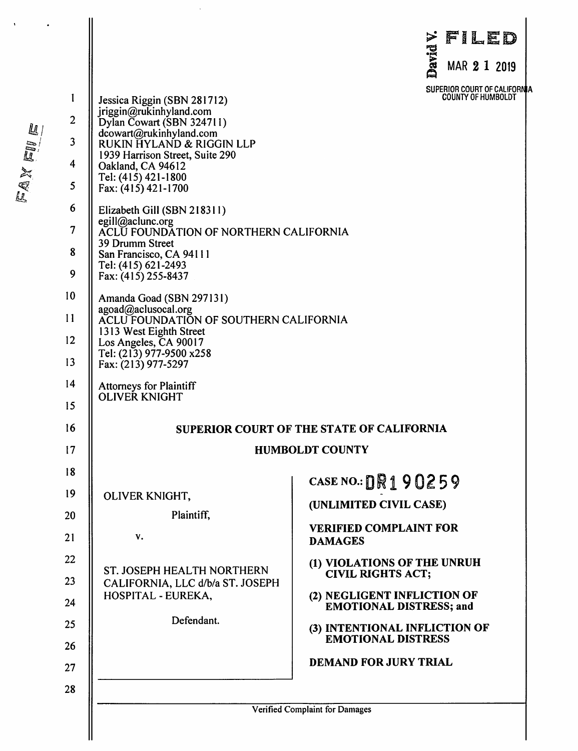| 1<br>$\overline{2}$<br>3<br>4<br>5<br>6<br>$\overline{7}$<br>8<br>9<br>10 <sup>°</sup> | Jessica Riggin (SBN 281712)<br>jriggin@rukinhyland.com<br>Dylan Cowart (SBN 324711)<br>dcowart@rukinhyland.com<br>RUKIN HYLAND & RIGGIN LLP<br>1939 Harrison Street, Suite 290<br>Oakland, CA 94612<br>Tel: (415) 421-1800<br>Fax: (415) 421-1700<br>Elizabeth Gill (SBN 218311)<br>egill@aclunc.org<br>ACLU FOUNDATION OF NORTHERN CALIFORNIA<br>39 Drumm Street<br>San Francisco, CA 94111<br>Tel: (415) 621-2493<br>Fax: (415) 255-8437<br>Amanda Goad (SBN 297131) | FILED<br>⋗<br>David<br>MAR 2 1 2019<br>SUPERIOR COURT OF CALIFORNIA<br><b>COUNTY OF HUMBOLDT</b>                                                                                                                                                                                                                                   |
|----------------------------------------------------------------------------------------|------------------------------------------------------------------------------------------------------------------------------------------------------------------------------------------------------------------------------------------------------------------------------------------------------------------------------------------------------------------------------------------------------------------------------------------------------------------------|------------------------------------------------------------------------------------------------------------------------------------------------------------------------------------------------------------------------------------------------------------------------------------------------------------------------------------|
| 11<br>12<br>13                                                                         | agoad@aclusocal.org<br>ACLU FOUNDATION OF SOUTHERN CALIFORNIA<br>1313 West Eighth Street<br>Los Angeles, CA 90017<br>Tel: (213) 977-9500 x258<br>Fax: (213) 977-5297                                                                                                                                                                                                                                                                                                   |                                                                                                                                                                                                                                                                                                                                    |
| 14<br>15                                                                               | <b>Attorneys for Plaintiff</b><br>OLIVER KNIGHT                                                                                                                                                                                                                                                                                                                                                                                                                        |                                                                                                                                                                                                                                                                                                                                    |
| 16<br>17                                                                               |                                                                                                                                                                                                                                                                                                                                                                                                                                                                        | <b>SUPERIOR COURT OF THE STATE OF CALIFORNIA</b><br><b>HUMBOLDT COUNTY</b>                                                                                                                                                                                                                                                         |
| 18<br>19<br>20<br>21<br>22<br>23<br>24<br>25<br>26<br>27                               | OLIVER KNIGHT,<br>Plaintiff,<br>v.<br>ST. JOSEPH HEALTH NORTHERN<br>CALIFORNIA, LLC d/b/a ST. JOSEPH<br>HOSPITAL - EUREKA,<br>Defendant.                                                                                                                                                                                                                                                                                                                               | CASE NO.: $\text{DR}190259$<br>(UNLIMITED CIVIL CASE)<br><b>VERIFIED COMPLAINT FOR</b><br><b>DAMAGES</b><br>(1) VIOLATIONS OF THE UNRUH<br><b>CIVIL RIGHTS ACT;</b><br>(2) NEGLIGENT INFLICTION OF<br><b>EMOTIONAL DISTRESS; and</b><br>(3) INTENTIONAL INFLICTION OF<br><b>EMOTIONAL DISTRESS</b><br><b>DEMAND FOR JURY TRIAL</b> |
| 28                                                                                     |                                                                                                                                                                                                                                                                                                                                                                                                                                                                        | <b>Verified Complaint for Damages</b>                                                                                                                                                                                                                                                                                              |

 $\frac{1}{2}$ 

EAXEVE

 $\ddot{\phantom{1}}$ 

 $\ddot{\phantom{a}}$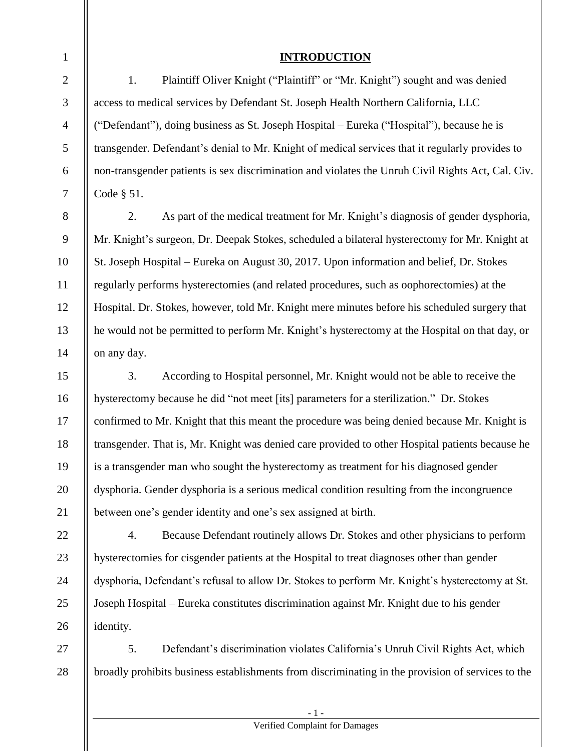| $\mathbf{1}$   | <b>INTRODUCTION</b>                                                                               |  |
|----------------|---------------------------------------------------------------------------------------------------|--|
| $\overline{2}$ | Plaintiff Oliver Knight ("Plaintiff" or "Mr. Knight") sought and was denied<br>1.                 |  |
| $\mathfrak{Z}$ | access to medical services by Defendant St. Joseph Health Northern California, LLC                |  |
| $\overline{4}$ | ("Defendant"), doing business as St. Joseph Hospital – Eureka ("Hospital"), because he is         |  |
| 5              | transgender. Defendant's denial to Mr. Knight of medical services that it regularly provides to   |  |
| 6              | non-transgender patients is sex discrimination and violates the Unruh Civil Rights Act, Cal. Civ. |  |
| $\overline{7}$ | Code § 51.                                                                                        |  |
| 8              | 2.<br>As part of the medical treatment for Mr. Knight's diagnosis of gender dysphoria,            |  |
| 9              | Mr. Knight's surgeon, Dr. Deepak Stokes, scheduled a bilateral hysterectomy for Mr. Knight at     |  |
| 10             | St. Joseph Hospital – Eureka on August 30, 2017. Upon information and belief, Dr. Stokes          |  |
| 11             | regularly performs hysterectomies (and related procedures, such as oophorectomies) at the         |  |
| 12             | Hospital. Dr. Stokes, however, told Mr. Knight mere minutes before his scheduled surgery that     |  |
| 13             | he would not be permitted to perform Mr. Knight's hysterectomy at the Hospital on that day, or    |  |
| 14             | on any day.                                                                                       |  |
| 15             | 3.<br>According to Hospital personnel, Mr. Knight would not be able to receive the                |  |
| 16             | hysterectomy because he did "not meet [its] parameters for a sterilization." Dr. Stokes           |  |
| 17             | confirmed to Mr. Knight that this meant the procedure was being denied because Mr. Knight is      |  |
| 18             | transgender. That is, Mr. Knight was denied care provided to other Hospital patients because he   |  |

19 20 21 is a transgender man who sought the hysterectomy as treatment for his diagnosed gender dysphoria. Gender dysphoria is a serious medical condition resulting from the incongruence between one's gender identity and one's sex assigned at birth.

22 23 24 25 26 4. Because Defendant routinely allows Dr. Stokes and other physicians to perform hysterectomies for cisgender patients at the Hospital to treat diagnoses other than gender dysphoria, Defendant's refusal to allow Dr. Stokes to perform Mr. Knight's hysterectomy at St. Joseph Hospital – Eureka constitutes discrimination against Mr. Knight due to his gender identity.

27 28 5. Defendant's discrimination violates California's Unruh Civil Rights Act, which broadly prohibits business establishments from discriminating in the provision of services to the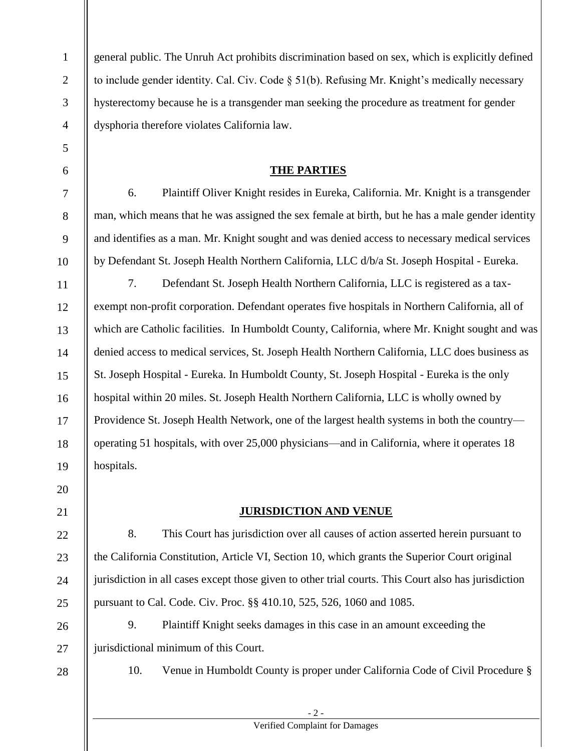| $\mathbf{1}$   | general public. The Unruh Act prohibits discrimination based on sex, which is explicitly defined     |  |  |  |  |  |
|----------------|------------------------------------------------------------------------------------------------------|--|--|--|--|--|
| $\overline{2}$ | to include gender identity. Cal. Civ. Code § 51(b). Refusing Mr. Knight's medically necessary        |  |  |  |  |  |
| 3              | hysterectomy because he is a transgender man seeking the procedure as treatment for gender           |  |  |  |  |  |
| $\overline{4}$ | dysphoria therefore violates California law.                                                         |  |  |  |  |  |
| 5              |                                                                                                      |  |  |  |  |  |
| 6              | <b>THE PARTIES</b>                                                                                   |  |  |  |  |  |
| $\tau$         | Plaintiff Oliver Knight resides in Eureka, California. Mr. Knight is a transgender<br>6.             |  |  |  |  |  |
| $8\,$          | man, which means that he was assigned the sex female at birth, but he has a male gender identity     |  |  |  |  |  |
| 9              | and identifies as a man. Mr. Knight sought and was denied access to necessary medical services       |  |  |  |  |  |
| 10             | by Defendant St. Joseph Health Northern California, LLC d/b/a St. Joseph Hospital - Eureka.          |  |  |  |  |  |
| 11             | 7.<br>Defendant St. Joseph Health Northern California, LLC is registered as a tax-                   |  |  |  |  |  |
| 12             | exempt non-profit corporation. Defendant operates five hospitals in Northern California, all of      |  |  |  |  |  |
| 13             | which are Catholic facilities. In Humboldt County, California, where Mr. Knight sought and was       |  |  |  |  |  |
| 14             | denied access to medical services, St. Joseph Health Northern California, LLC does business as       |  |  |  |  |  |
| 15             | St. Joseph Hospital - Eureka. In Humboldt County, St. Joseph Hospital - Eureka is the only           |  |  |  |  |  |
| 16             | hospital within 20 miles. St. Joseph Health Northern California, LLC is wholly owned by              |  |  |  |  |  |
| 17             | Providence St. Joseph Health Network, one of the largest health systems in both the country—         |  |  |  |  |  |
| 18             | operating 51 hospitals, with over 25,000 physicians—and in California, where it operates 18          |  |  |  |  |  |
| 19             | hospitals.                                                                                           |  |  |  |  |  |
| 20             |                                                                                                      |  |  |  |  |  |
| 21             | <b>JURISDICTION AND VENUE</b>                                                                        |  |  |  |  |  |
| 22             | 8.<br>This Court has jurisdiction over all causes of action asserted herein pursuant to              |  |  |  |  |  |
| 23             | the California Constitution, Article VI, Section 10, which grants the Superior Court original        |  |  |  |  |  |
| 24             | jurisdiction in all cases except those given to other trial courts. This Court also has jurisdiction |  |  |  |  |  |
| 25             | pursuant to Cal. Code. Civ. Proc. §§ 410.10, 525, 526, 1060 and 1085.                                |  |  |  |  |  |
| 26             | 9.<br>Plaintiff Knight seeks damages in this case in an amount exceeding the                         |  |  |  |  |  |
| 27             | jurisdictional minimum of this Court.                                                                |  |  |  |  |  |
| 28             | 10.<br>Venue in Humboldt County is proper under California Code of Civil Procedure §                 |  |  |  |  |  |
|                |                                                                                                      |  |  |  |  |  |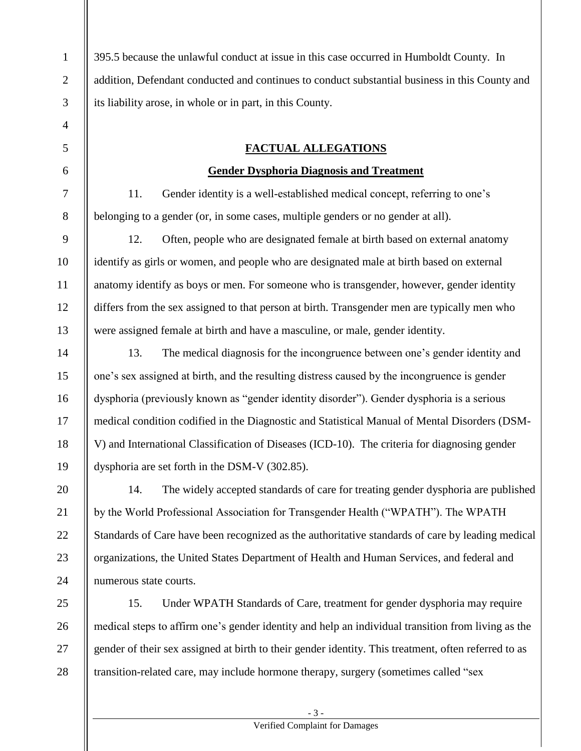2 3 395.5 because the unlawful conduct at issue in this case occurred in Humboldt County. In addition, Defendant conducted and continues to conduct substantial business in this County and its liability arose, in whole or in part, in this County.

1

4

5

6

7

8

9

10

11

12

13

14

15

16

17

18

19

### **FACTUAL ALLEGATIONS**

### **Gender Dysphoria Diagnosis and Treatment**

11. Gender identity is a well-established medical concept, referring to one's belonging to a gender (or, in some cases, multiple genders or no gender at all).

12. Often, people who are designated female at birth based on external anatomy identify as girls or women, and people who are designated male at birth based on external anatomy identify as boys or men. For someone who is transgender, however, gender identity differs from the sex assigned to that person at birth. Transgender men are typically men who were assigned female at birth and have a masculine, or male, gender identity.

13. The medical diagnosis for the incongruence between one's gender identity and one's sex assigned at birth, and the resulting distress caused by the incongruence is gender dysphoria (previously known as "gender identity disorder"). Gender dysphoria is a serious medical condition codified in the Diagnostic and Statistical Manual of Mental Disorders (DSM-V) and International Classification of Diseases (ICD-10). The criteria for diagnosing gender dysphoria are set forth in the DSM-V (302.85).

20 21 22 23 24 14. The widely accepted standards of care for treating gender dysphoria are published by the World Professional Association for Transgender Health ("WPATH"). The WPATH Standards of Care have been recognized as the authoritative standards of care by leading medical organizations, the United States Department of Health and Human Services, and federal and numerous state courts.

25 26 27 28 15. Under WPATH Standards of Care, treatment for gender dysphoria may require medical steps to affirm one's gender identity and help an individual transition from living as the gender of their sex assigned at birth to their gender identity. This treatment, often referred to as transition-related care, may include hormone therapy, surgery (sometimes called "sex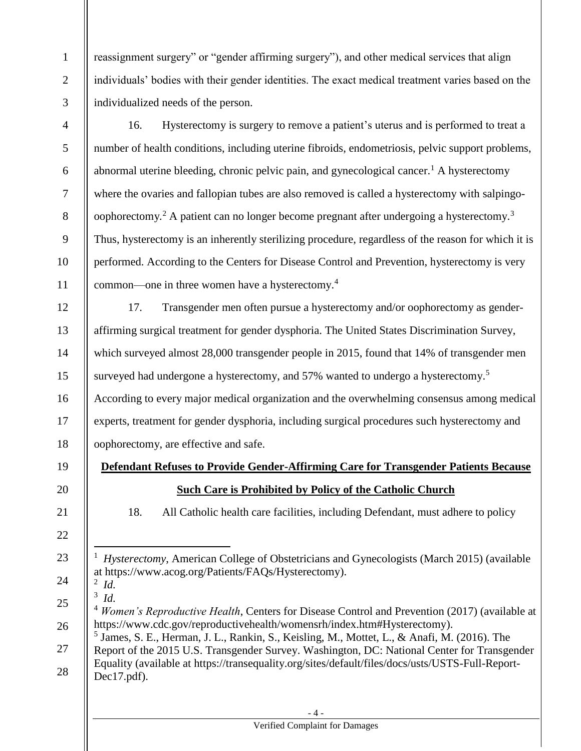reassignment surgery" or "gender affirming surgery"), and other medical services that align individuals' bodies with their gender identities. The exact medical treatment varies based on the individualized needs of the person.

4 5 6 7 8 9 10 11 16. Hysterectomy is surgery to remove a patient's uterus and is performed to treat a number of health conditions, including uterine fibroids, endometriosis, pelvic support problems, abnormal uterine bleeding, chronic pelvic pain, and gynecological cancer.<sup>1</sup> A hysterectomy where the ovaries and fallopian tubes are also removed is called a hysterectomy with salpingooophorectomy.<sup>2</sup> A patient can no longer become pregnant after undergoing a hysterectomy.<sup>3</sup> Thus, hysterectomy is an inherently sterilizing procedure, regardless of the reason for which it is performed. According to the Centers for Disease Control and Prevention, hysterectomy is very common—one in three women have a hysterectomy. 4

12 13 14 15 16 17 18 17. Transgender men often pursue a hysterectomy and/or oophorectomy as genderaffirming surgical treatment for gender dysphoria. The United States Discrimination Survey, which surveyed almost 28,000 transgender people in 2015, found that 14% of transgender men surveyed had undergone a hysterectomy, and 57% wanted to undergo a hysterectomy.<sup>5</sup> According to every major medical organization and the overwhelming consensus among medical experts, treatment for gender dysphoria, including surgical procedures such hysterectomy and oophorectomy, are effective and safe.

**Defendant Refuses to Provide Gender-Affirming Care for Transgender Patients Because Such Care is Prohibited by Policy of the Catholic Church**

18. All Catholic health care facilities, including Defendant, must adhere to policy

23 24  $\overline{a}$ 1 *Hysterectomy*, American College of Obstetricians and Gynecologists (March 2015) (available at https://www.acog.org/Patients/FAQs/Hysterectomy).

2 *Id.*  3 *Id.* 

19

20

21

22

25

26

1

2

3

- <sup>4</sup> *Women's Reproductive Health*, Centers for Disease Control and Prevention (2017) (available at https://www.cdc.gov/reproductivehealth/womensrh/index.htm#Hysterectomy).
- 27 5 James, S. E., Herman, J. L., Rankin, S., Keisling, M., Mottet, L., & Anafi, M. (2016). The Report of the 2015 U.S. Transgender Survey. Washington, DC: National Center for Transgender
- 28 Equality (available at https://transequality.org/sites/default/files/docs/usts/USTS-Full-Report-Dec17.pdf).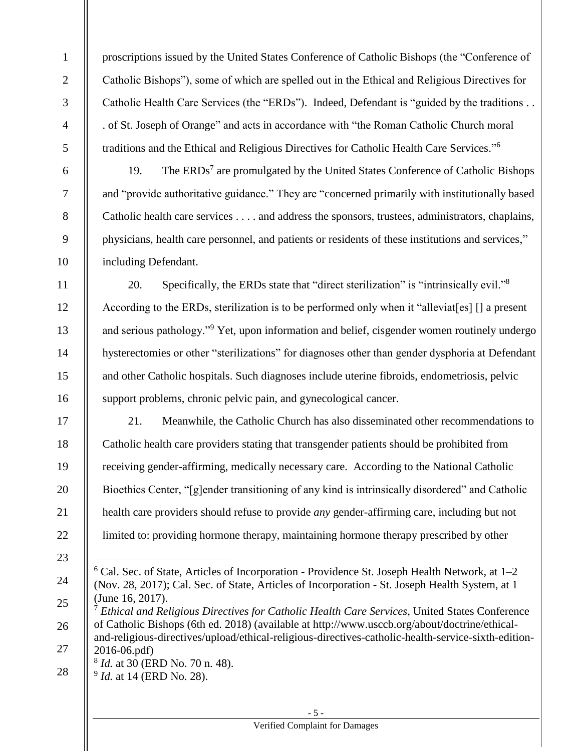proscriptions issued by the United States Conference of Catholic Bishops (the "Conference of Catholic Bishops"), some of which are spelled out in the Ethical and Religious Directives for Catholic Health Care Services (the "ERDs"). Indeed, Defendant is "guided by the traditions . . . of St. Joseph of Orange" and acts in accordance with "the Roman Catholic Church moral traditions and the Ethical and Religious Directives for Catholic Health Care Services."<sup>6</sup>

19. The ERDs<sup>7</sup> are promulgated by the United States Conference of Catholic Bishops and "provide authoritative guidance." They are "concerned primarily with institutionally based Catholic health care services . . . . and address the sponsors, trustees, administrators, chaplains, physicians, health care personnel, and patients or residents of these institutions and services," including Defendant.

11 12 13 14 15 16 20. Specifically, the ERDs state that "direct sterilization" is "intrinsically evil."<sup>8</sup> According to the ERDs, sterilization is to be performed only when it "alleviat[es] [] a present and serious pathology."<sup>9</sup> Yet, upon information and belief, cisgender women routinely undergo hysterectomies or other "sterilizations" for diagnoses other than gender dysphoria at Defendant and other Catholic hospitals. Such diagnoses include uterine fibroids, endometriosis, pelvic support problems, chronic pelvic pain, and gynecological cancer.

17 18 19 20 21 22 21. Meanwhile, the Catholic Church has also disseminated other recommendations to Catholic health care providers stating that transgender patients should be prohibited from receiving gender-affirming, medically necessary care. According to the National Catholic Bioethics Center, "[g]ender transitioning of any kind is intrinsically disordered" and Catholic health care providers should refuse to provide *any* gender-affirming care, including but not limited to: providing hormone therapy, maintaining hormone therapy prescribed by other

23

 $\overline{a}$ 

24

1

2

3

4

5

6

7

8

9

10

 $6$  Cal. Sec. of State, Articles of Incorporation - Providence St. Joseph Health Network, at  $1-2$ (Nov. 28, 2017); Cal. Sec. of State, Articles of Incorporation - St. Joseph Health System, at 1 (June 16, 2017).

<sup>25</sup> 26 27 <sup>7</sup> *Ethical and Religious Directives for Catholic Health Care Services*, United States Conference of Catholic Bishops (6th ed. 2018) (available at http://www.usccb.org/about/doctrine/ethicaland-religious-directives/upload/ethical-religious-directives-catholic-health-service-sixth-edition-2016-06.pdf)

<sup>8</sup> *Id.* at 30 (ERD No. 70 n. 48).

<sup>28</sup> 9 *Id.* at 14 (ERD No. 28).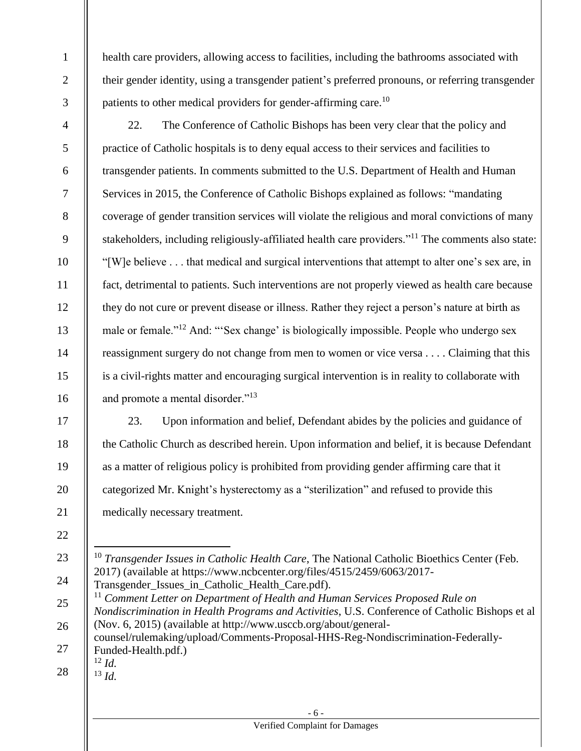health care providers, allowing access to facilities, including the bathrooms associated with their gender identity, using a transgender patient's preferred pronouns, or referring transgender patients to other medical providers for gender-affirming care.<sup>10</sup>

1

2

3

4

5

6

7

8

9

10

11

12

13

14

15

16

22. The Conference of Catholic Bishops has been very clear that the policy and practice of Catholic hospitals is to deny equal access to their services and facilities to transgender patients. In comments submitted to the U.S. Department of Health and Human Services in 2015, the Conference of Catholic Bishops explained as follows: "mandating coverage of gender transition services will violate the religious and moral convictions of many stakeholders, including religiously-affiliated health care providers."<sup>11</sup> The comments also state: "[W]e believe . . . that medical and surgical interventions that attempt to alter one's sex are, in fact, detrimental to patients. Such interventions are not properly viewed as health care because they do not cure or prevent disease or illness. Rather they reject a person's nature at birth as male or female."<sup>12</sup> And: "'Sex change' is biologically impossible. People who undergo sex reassignment surgery do not change from men to women or vice versa . . . . Claiming that this is a civil-rights matter and encouraging surgical intervention is in reality to collaborate with and promote a mental disorder."<sup>13</sup>

17 18 19 20 21 23. Upon information and belief, Defendant abides by the policies and guidance of the Catholic Church as described herein. Upon information and belief, it is because Defendant as a matter of religious policy is prohibited from providing gender affirming care that it categorized Mr. Knight's hysterectomy as a "sterilization" and refused to provide this medically necessary treatment.

22

23

 $\overline{a}$ <sup>10</sup> *Transgender Issues in Catholic Health Care*, The National Catholic Bioethics Center (Feb. 2017) (available at https://www.ncbcenter.org/files/4515/2459/6063/2017-

24 Transgender Issues in Catholic Health Care.pdf).

25 26 27 <sup>11</sup> Comment Letter on Department of Health and Human Services Proposed Rule on *Nondiscrimination in Health Programs and Activities*, U.S. Conference of Catholic Bishops et al (Nov. 6, 2015) (available at http://www.usccb.org/about/generalcounsel/rulemaking/upload/Comments-Proposal-HHS-Reg-Nondiscrimination-Federally-Funded-Health.pdf.) <sup>12</sup> *Id.*

28

 $^{13}$  *Id.*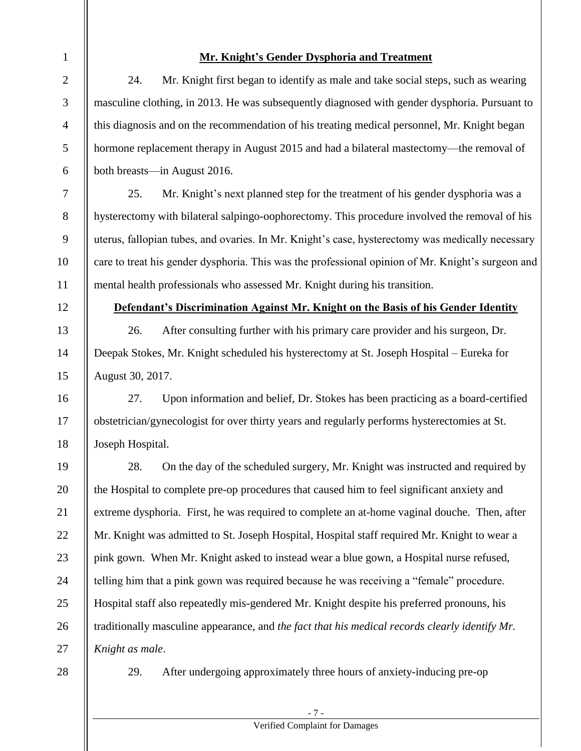| 1              | <b>Mr. Knight's Gender Dysphoria and Treatment</b>                                                |  |  |  |  |
|----------------|---------------------------------------------------------------------------------------------------|--|--|--|--|
| $\overline{2}$ | 24.<br>Mr. Knight first began to identify as male and take social steps, such as wearing          |  |  |  |  |
| 3              | masculine clothing, in 2013. He was subsequently diagnosed with gender dysphoria. Pursuant to     |  |  |  |  |
| $\overline{4}$ | this diagnosis and on the recommendation of his treating medical personnel, Mr. Knight began      |  |  |  |  |
| 5              | hormone replacement therapy in August 2015 and had a bilateral mastectomy—the removal of          |  |  |  |  |
| 6              | both breasts—in August 2016.                                                                      |  |  |  |  |
| $\tau$         | 25.<br>Mr. Knight's next planned step for the treatment of his gender dysphoria was a             |  |  |  |  |
| 8              | hysterectomy with bilateral salpingo-oophorectomy. This procedure involved the removal of his     |  |  |  |  |
| 9              | uterus, fallopian tubes, and ovaries. In Mr. Knight's case, hysterectomy was medically necessary  |  |  |  |  |
| 10             | care to treat his gender dysphoria. This was the professional opinion of Mr. Knight's surgeon and |  |  |  |  |
| 11             | mental health professionals who assessed Mr. Knight during his transition.                        |  |  |  |  |
| 12             | Defendant's Discrimination Against Mr. Knight on the Basis of his Gender Identity                 |  |  |  |  |
| 13             | 26.<br>After consulting further with his primary care provider and his surgeon, Dr.               |  |  |  |  |
| 14             | Deepak Stokes, Mr. Knight scheduled his hysterectomy at St. Joseph Hospital - Eureka for          |  |  |  |  |
| 15             | August 30, 2017.                                                                                  |  |  |  |  |
| 16             | 27.<br>Upon information and belief, Dr. Stokes has been practicing as a board-certified           |  |  |  |  |
| 17             | obstetrician/gynecologist for over thirty years and regularly performs hysterectomies at St.      |  |  |  |  |
| 18             | Joseph Hospital.                                                                                  |  |  |  |  |
| 19             | 28.<br>On the day of the scheduled surgery, Mr. Knight was instructed and required by             |  |  |  |  |
| 20             | the Hospital to complete pre-op procedures that caused him to feel significant anxiety and        |  |  |  |  |
| 21             | extreme dysphoria. First, he was required to complete an at-home vaginal douche. Then, after      |  |  |  |  |
| 22             | Mr. Knight was admitted to St. Joseph Hospital, Hospital staff required Mr. Knight to wear a      |  |  |  |  |
| 23             | pink gown. When Mr. Knight asked to instead wear a blue gown, a Hospital nurse refused,           |  |  |  |  |
| 24             | telling him that a pink gown was required because he was receiving a "female" procedure.          |  |  |  |  |
| 25             | Hospital staff also repeatedly mis-gendered Mr. Knight despite his preferred pronouns, his        |  |  |  |  |
| 26             | traditionally masculine appearance, and the fact that his medical records clearly identify Mr.    |  |  |  |  |
| 27             | Knight as male.                                                                                   |  |  |  |  |
| 28             | After undergoing approximately three hours of anxiety-inducing pre-op<br>29.                      |  |  |  |  |

- 7 -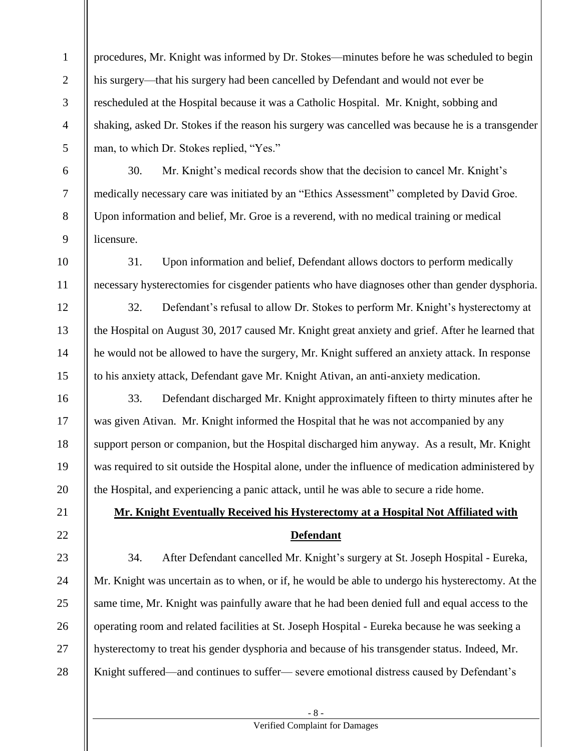1 2 3 4 5 procedures, Mr. Knight was informed by Dr. Stokes—minutes before he was scheduled to begin his surgery—that his surgery had been cancelled by Defendant and would not ever be rescheduled at the Hospital because it was a Catholic Hospital. Mr. Knight, sobbing and shaking, asked Dr. Stokes if the reason his surgery was cancelled was because he is a transgender man, to which Dr. Stokes replied, "Yes."

30. Mr. Knight's medical records show that the decision to cancel Mr. Knight's medically necessary care was initiated by an "Ethics Assessment" completed by David Groe. Upon information and belief, Mr. Groe is a reverend, with no medical training or medical licensure.

6

7

8

9

12

13

14

15

21

22

10 11 31. Upon information and belief, Defendant allows doctors to perform medically necessary hysterectomies for cisgender patients who have diagnoses other than gender dysphoria.

32. Defendant's refusal to allow Dr. Stokes to perform Mr. Knight's hysterectomy at the Hospital on August 30, 2017 caused Mr. Knight great anxiety and grief. After he learned that he would not be allowed to have the surgery, Mr. Knight suffered an anxiety attack. In response to his anxiety attack, Defendant gave Mr. Knight Ativan, an anti-anxiety medication.

16 17 18 19 20 33. Defendant discharged Mr. Knight approximately fifteen to thirty minutes after he was given Ativan. Mr. Knight informed the Hospital that he was not accompanied by any support person or companion, but the Hospital discharged him anyway. As a result, Mr. Knight was required to sit outside the Hospital alone, under the influence of medication administered by the Hospital, and experiencing a panic attack, until he was able to secure a ride home.

# **Mr. Knight Eventually Received his Hysterectomy at a Hospital Not Affiliated with Defendant**

23 24 25 26 27 28 34. After Defendant cancelled Mr. Knight's surgery at St. Joseph Hospital - Eureka, Mr. Knight was uncertain as to when, or if, he would be able to undergo his hysterectomy. At the same time, Mr. Knight was painfully aware that he had been denied full and equal access to the operating room and related facilities at St. Joseph Hospital - Eureka because he was seeking a hysterectomy to treat his gender dysphoria and because of his transgender status. Indeed, Mr. Knight suffered—and continues to suffer— severe emotional distress caused by Defendant's

- 8 -

### Verified Complaint for Damages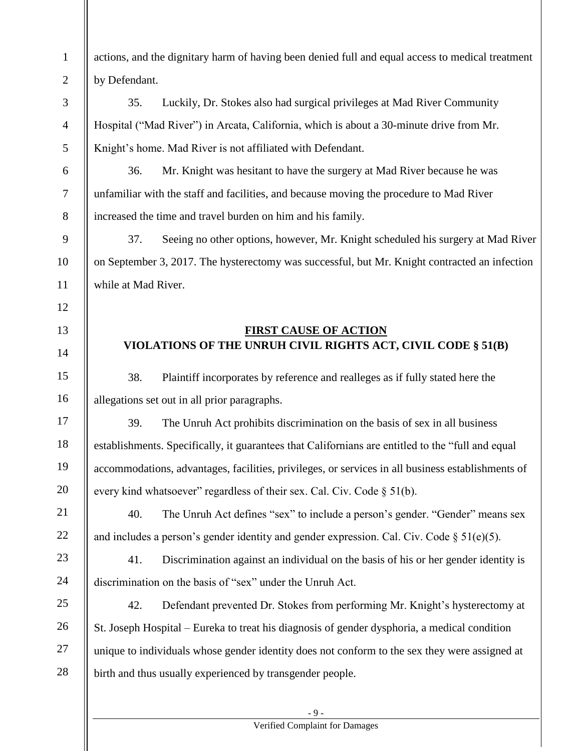| 1              | actions, and the dignitary harm of having been denied full and equal access to medical treatment  |  |  |  |  |  |
|----------------|---------------------------------------------------------------------------------------------------|--|--|--|--|--|
| $\mathbf{2}$   | by Defendant.                                                                                     |  |  |  |  |  |
| 3              | 35.<br>Luckily, Dr. Stokes also had surgical privileges at Mad River Community                    |  |  |  |  |  |
| $\overline{4}$ | Hospital ("Mad River") in Arcata, California, which is about a 30-minute drive from Mr.           |  |  |  |  |  |
| 5              | Knight's home. Mad River is not affiliated with Defendant.                                        |  |  |  |  |  |
| 6              | 36.<br>Mr. Knight was hesitant to have the surgery at Mad River because he was                    |  |  |  |  |  |
| $\overline{7}$ | unfamiliar with the staff and facilities, and because moving the procedure to Mad River           |  |  |  |  |  |
| 8              | increased the time and travel burden on him and his family.                                       |  |  |  |  |  |
| 9              | 37.<br>Seeing no other options, however, Mr. Knight scheduled his surgery at Mad River            |  |  |  |  |  |
| 10             | on September 3, 2017. The hysterectomy was successful, but Mr. Knight contracted an infection     |  |  |  |  |  |
| 11             | while at Mad River.                                                                               |  |  |  |  |  |
| 12             |                                                                                                   |  |  |  |  |  |
| 13             | <b>FIRST CAUSE OF ACTION</b>                                                                      |  |  |  |  |  |
| 14             | VIOLATIONS OF THE UNRUH CIVIL RIGHTS ACT, CIVIL CODE § 51(B)                                      |  |  |  |  |  |
| 15             | 38.<br>Plaintiff incorporates by reference and realleges as if fully stated here the              |  |  |  |  |  |
| 16             | allegations set out in all prior paragraphs.                                                      |  |  |  |  |  |
| 17             | 39.<br>The Unruh Act prohibits discrimination on the basis of sex in all business                 |  |  |  |  |  |
| 18             | establishments. Specifically, it guarantees that Californians are entitled to the "full and equal |  |  |  |  |  |
| 19             | accommodations, advantages, facilities, privileges, or services in all business establishments of |  |  |  |  |  |
| 20             | every kind whatsoever" regardless of their sex. Cal. Civ. Code § 51(b).                           |  |  |  |  |  |
| 21             | The Unruh Act defines "sex" to include a person's gender. "Gender" means sex<br>40.               |  |  |  |  |  |
| 22             | and includes a person's gender identity and gender expression. Cal. Civ. Code $\S 51(e)(5)$ .     |  |  |  |  |  |
| 23             | Discrimination against an individual on the basis of his or her gender identity is<br>41.         |  |  |  |  |  |
| 24             | discrimination on the basis of "sex" under the Unruh Act.                                         |  |  |  |  |  |
| 25             | Defendant prevented Dr. Stokes from performing Mr. Knight's hysterectomy at<br>42.                |  |  |  |  |  |
| 26             | St. Joseph Hospital – Eureka to treat his diagnosis of gender dysphoria, a medical condition      |  |  |  |  |  |
| 27             | unique to individuals whose gender identity does not conform to the sex they were assigned at     |  |  |  |  |  |
| 28             | birth and thus usually experienced by transgender people.                                         |  |  |  |  |  |
|                |                                                                                                   |  |  |  |  |  |

## Verified Complaint for Damages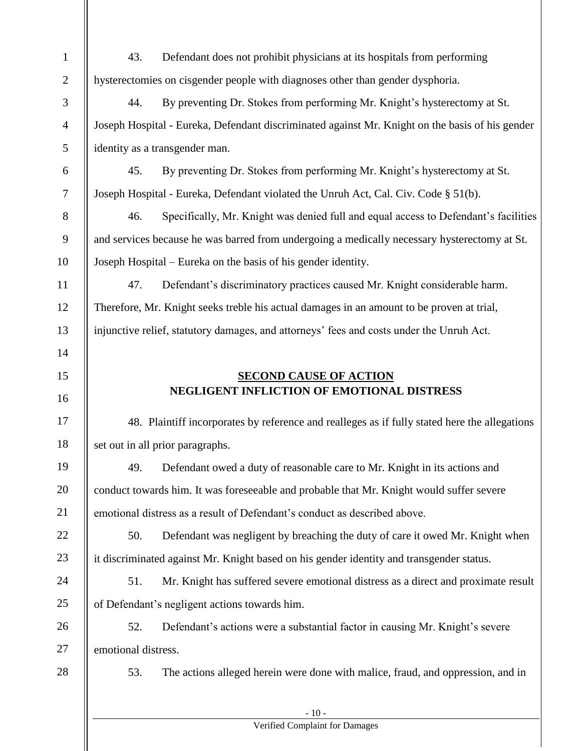| $\mathbf{1}$     | 43.<br>Defendant does not prohibit physicians at its hospitals from performing                  |  |  |  |  |  |
|------------------|-------------------------------------------------------------------------------------------------|--|--|--|--|--|
| $\mathfrak{2}$   | hysterectomies on cisgender people with diagnoses other than gender dysphoria.                  |  |  |  |  |  |
| $\mathfrak{Z}$   | By preventing Dr. Stokes from performing Mr. Knight's hysterectomy at St.<br>44.                |  |  |  |  |  |
| $\overline{4}$   | Joseph Hospital - Eureka, Defendant discriminated against Mr. Knight on the basis of his gender |  |  |  |  |  |
| 5                | identity as a transgender man.                                                                  |  |  |  |  |  |
| $\boldsymbol{6}$ | By preventing Dr. Stokes from performing Mr. Knight's hysterectomy at St.<br>45.                |  |  |  |  |  |
| $\boldsymbol{7}$ | Joseph Hospital - Eureka, Defendant violated the Unruh Act, Cal. Civ. Code § 51(b).             |  |  |  |  |  |
| $8\,$            | Specifically, Mr. Knight was denied full and equal access to Defendant's facilities<br>46.      |  |  |  |  |  |
| $\mathbf{9}$     | and services because he was barred from undergoing a medically necessary hysterectomy at St.    |  |  |  |  |  |
| 10               | Joseph Hospital – Eureka on the basis of his gender identity.                                   |  |  |  |  |  |
| 11               | Defendant's discriminatory practices caused Mr. Knight considerable harm.<br>47.                |  |  |  |  |  |
| 12               | Therefore, Mr. Knight seeks treble his actual damages in an amount to be proven at trial,       |  |  |  |  |  |
| 13               | injunctive relief, statutory damages, and attorneys' fees and costs under the Unruh Act.        |  |  |  |  |  |
| 14               |                                                                                                 |  |  |  |  |  |
| 15               | <b>SECOND CAUSE OF ACTION</b>                                                                   |  |  |  |  |  |
| 16               | NEGLIGENT INFLICTION OF EMOTIONAL DISTRESS                                                      |  |  |  |  |  |
| 17               | 48. Plaintiff incorporates by reference and realleges as if fully stated here the allegations   |  |  |  |  |  |
| 18               | set out in all prior paragraphs.                                                                |  |  |  |  |  |
| 19               | Defendant owed a duty of reasonable care to Mr. Knight in its actions and<br>49.                |  |  |  |  |  |
| 20               | conduct towards him. It was foreseeable and probable that Mr. Knight would suffer severe        |  |  |  |  |  |
| 21               | emotional distress as a result of Defendant's conduct as described above.                       |  |  |  |  |  |
| 22               | 50.<br>Defendant was negligent by breaching the duty of care it owed Mr. Knight when            |  |  |  |  |  |
| 23               | it discriminated against Mr. Knight based on his gender identity and transgender status.        |  |  |  |  |  |
| 24               | Mr. Knight has suffered severe emotional distress as a direct and proximate result<br>51.       |  |  |  |  |  |
| 25               | of Defendant's negligent actions towards him.                                                   |  |  |  |  |  |
| 26               | 52.<br>Defendant's actions were a substantial factor in causing Mr. Knight's severe             |  |  |  |  |  |
| 27               | emotional distress.                                                                             |  |  |  |  |  |
| 28               | The actions alleged herein were done with malice, fraud, and oppression, and in<br>53.          |  |  |  |  |  |
|                  | $-10-$                                                                                          |  |  |  |  |  |

### Verified Complaint for Damages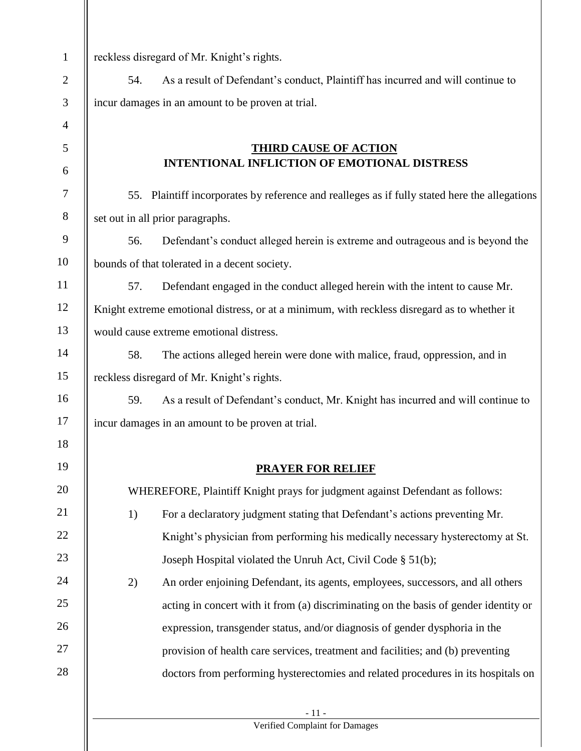| $\mathbf{1}$   | reckless disregard of Mr. Knight's rights.                                                    |  |  |  |  |  |  |
|----------------|-----------------------------------------------------------------------------------------------|--|--|--|--|--|--|
| $\mathbf{2}$   | As a result of Defendant's conduct, Plaintiff has incurred and will continue to<br>54.        |  |  |  |  |  |  |
| $\mathfrak{Z}$ | incur damages in an amount to be proven at trial.                                             |  |  |  |  |  |  |
| $\overline{4}$ |                                                                                               |  |  |  |  |  |  |
| 5              | <b>THIRD CAUSE OF ACTION</b>                                                                  |  |  |  |  |  |  |
| 6              | <b>INTENTIONAL INFLICTION OF EMOTIONAL DISTRESS</b>                                           |  |  |  |  |  |  |
| 7              | 55. Plaintiff incorporates by reference and realleges as if fully stated here the allegations |  |  |  |  |  |  |
| $8\,$          | set out in all prior paragraphs.                                                              |  |  |  |  |  |  |
| $\mathbf{9}$   | Defendant's conduct alleged herein is extreme and outrageous and is beyond the<br>56.         |  |  |  |  |  |  |
| 10             | bounds of that tolerated in a decent society.                                                 |  |  |  |  |  |  |
| 11             | Defendant engaged in the conduct alleged herein with the intent to cause Mr.<br>57.           |  |  |  |  |  |  |
| 12             | Knight extreme emotional distress, or at a minimum, with reckless disregard as to whether it  |  |  |  |  |  |  |
| 13             | would cause extreme emotional distress.                                                       |  |  |  |  |  |  |
| 14             | The actions alleged herein were done with malice, fraud, oppression, and in<br>58.            |  |  |  |  |  |  |
| 15             | reckless disregard of Mr. Knight's rights.                                                    |  |  |  |  |  |  |
| 16             | As a result of Defendant's conduct, Mr. Knight has incurred and will continue to<br>59.       |  |  |  |  |  |  |
| 17             | incur damages in an amount to be proven at trial.                                             |  |  |  |  |  |  |
| 18             |                                                                                               |  |  |  |  |  |  |
| 19             | <b>PRAYER FOR RELIEF</b>                                                                      |  |  |  |  |  |  |
| 20             | WHEREFORE, Plaintiff Knight prays for judgment against Defendant as follows:                  |  |  |  |  |  |  |
| 21             | 1)<br>For a declaratory judgment stating that Defendant's actions preventing Mr.              |  |  |  |  |  |  |
| 22             | Knight's physician from performing his medically necessary hysterectomy at St.                |  |  |  |  |  |  |
| 23             | Joseph Hospital violated the Unruh Act, Civil Code § 51(b);                                   |  |  |  |  |  |  |
| 24             | An order enjoining Defendant, its agents, employees, successors, and all others<br>2)         |  |  |  |  |  |  |
| 25             | acting in concert with it from (a) discriminating on the basis of gender identity or          |  |  |  |  |  |  |
| 26             | expression, transgender status, and/or diagnosis of gender dysphoria in the                   |  |  |  |  |  |  |
| 27             | provision of health care services, treatment and facilities; and (b) preventing               |  |  |  |  |  |  |
| 28             | doctors from performing hysterectomies and related procedures in its hospitals on             |  |  |  |  |  |  |
|                |                                                                                               |  |  |  |  |  |  |
|                | $-11-$<br>Verified Complaint for Damages                                                      |  |  |  |  |  |  |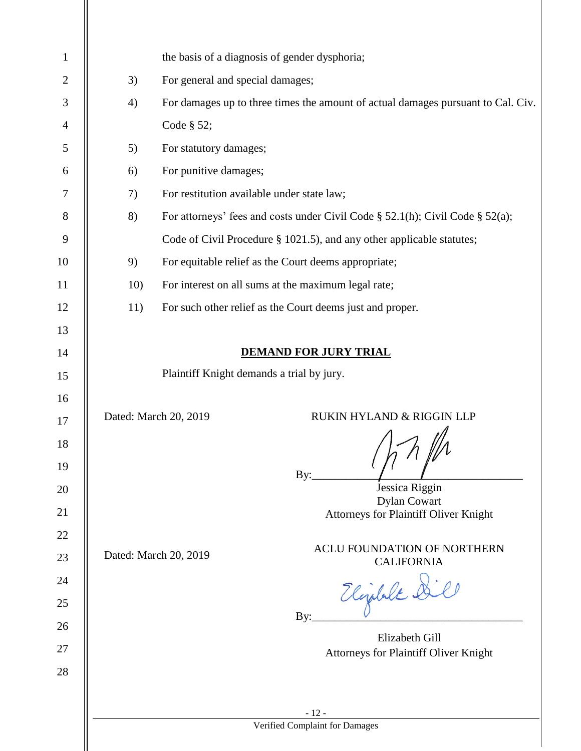| $\mathbf{1}$   |                                                                                  | the basis of a diagnosis of gender dysphoria;                                       |  |  |  |  |  |
|----------------|----------------------------------------------------------------------------------|-------------------------------------------------------------------------------------|--|--|--|--|--|
| $\mathbf{2}$   | 3)                                                                               | For general and special damages;                                                    |  |  |  |  |  |
| 3              | 4)                                                                               | For damages up to three times the amount of actual damages pursuant to Cal. Civ.    |  |  |  |  |  |
| $\overline{4}$ |                                                                                  | Code § 52;                                                                          |  |  |  |  |  |
| 5              | 5)                                                                               | For statutory damages;                                                              |  |  |  |  |  |
| 6              | 6)                                                                               | For punitive damages;                                                               |  |  |  |  |  |
| $\tau$         | 7)                                                                               | For restitution available under state law;                                          |  |  |  |  |  |
| $8\phantom{1}$ | 8)                                                                               | For attorneys' fees and costs under Civil Code $\S$ 52.1(h); Civil Code $\S$ 52(a); |  |  |  |  |  |
| $\overline{9}$ |                                                                                  | Code of Civil Procedure § 1021.5), and any other applicable statutes;               |  |  |  |  |  |
| 10             | 9)                                                                               | For equitable relief as the Court deems appropriate;                                |  |  |  |  |  |
| 11             | 10)                                                                              | For interest on all sums at the maximum legal rate;                                 |  |  |  |  |  |
| 12             | 11)                                                                              | For such other relief as the Court deems just and proper.                           |  |  |  |  |  |
| 13             |                                                                                  |                                                                                     |  |  |  |  |  |
| 14             |                                                                                  | <b>DEMAND FOR JURY TRIAL</b>                                                        |  |  |  |  |  |
| 15             |                                                                                  | Plaintiff Knight demands a trial by jury.                                           |  |  |  |  |  |
| 16             |                                                                                  |                                                                                     |  |  |  |  |  |
| 17             |                                                                                  | Dated: March 20, 2019<br>RUKIN HYLAND & RIGGIN LLP                                  |  |  |  |  |  |
| 18             |                                                                                  |                                                                                     |  |  |  |  |  |
| 19             |                                                                                  | By:                                                                                 |  |  |  |  |  |
| 20             | Jessica Riggin                                                                   |                                                                                     |  |  |  |  |  |
| 21             | <b>Dylan Cowart</b><br>Attorneys for Plaintiff Oliver Knight                     |                                                                                     |  |  |  |  |  |
| 22             |                                                                                  |                                                                                     |  |  |  |  |  |
| 23             | <b>ACLU FOUNDATION OF NORTHERN</b><br>Dated: March 20, 2019<br><b>CALIFORNIA</b> |                                                                                     |  |  |  |  |  |
| 24             |                                                                                  |                                                                                     |  |  |  |  |  |
| 25             | Elizabet &                                                                       |                                                                                     |  |  |  |  |  |
| 26             | By:<br>Elizabeth Gill                                                            |                                                                                     |  |  |  |  |  |
| 27             | Attorneys for Plaintiff Oliver Knight                                            |                                                                                     |  |  |  |  |  |
| 28             |                                                                                  |                                                                                     |  |  |  |  |  |
|                |                                                                                  |                                                                                     |  |  |  |  |  |
|                |                                                                                  | $-12-$<br>Verified Complaint for Damages                                            |  |  |  |  |  |
|                |                                                                                  |                                                                                     |  |  |  |  |  |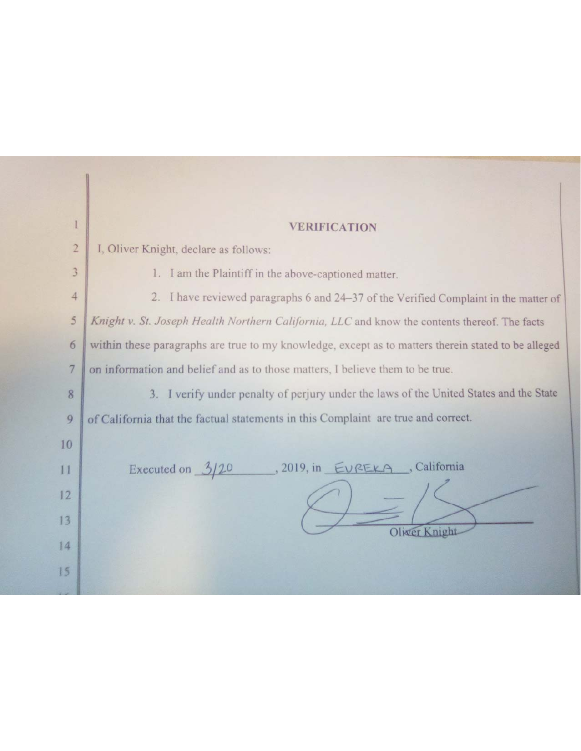| $\mathbf{l}$   | <b>VERIFICATION</b>                                                                                 |  |  |  |  |  |
|----------------|-----------------------------------------------------------------------------------------------------|--|--|--|--|--|
| $\overline{2}$ | I, Oliver Knight, declare as follows:                                                               |  |  |  |  |  |
| $\overline{3}$ | 1. I am the Plaintiff in the above-captioned matter.                                                |  |  |  |  |  |
| $\overline{4}$ | 2. I have reviewed paragraphs 6 and 24-37 of the Verified Complaint in the matter of                |  |  |  |  |  |
| 5              | Knight v. St. Joseph Health Northern California, LLC and know the contents thereof. The facts       |  |  |  |  |  |
| 6              | within these paragraphs are true to my knowledge, except as to matters therein stated to be alleged |  |  |  |  |  |
| $\overline{7}$ | on information and belief and as to those matters, I believe them to be true.                       |  |  |  |  |  |
| 8              | 3. I verify under penalty of perjury under the laws of the United States and the State              |  |  |  |  |  |
| 9              | of California that the factual statements in this Complaint are true and correct.                   |  |  |  |  |  |
| 10             |                                                                                                     |  |  |  |  |  |
| 11             | , 2019, in EUREKA, California<br>Executed on $3/20$                                                 |  |  |  |  |  |
| 12             |                                                                                                     |  |  |  |  |  |
| 13             |                                                                                                     |  |  |  |  |  |
| 14             | Oliver Knight                                                                                       |  |  |  |  |  |
| 15             |                                                                                                     |  |  |  |  |  |
|                |                                                                                                     |  |  |  |  |  |